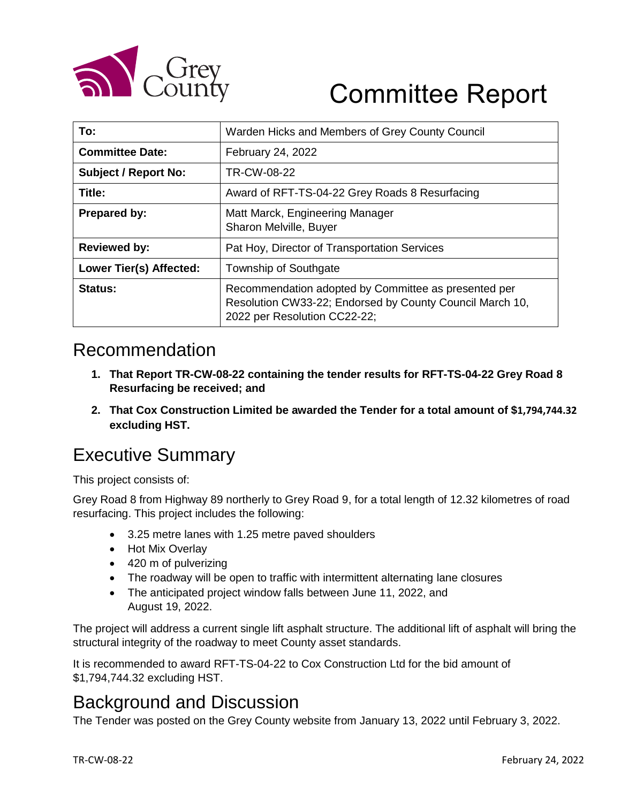

# Committee Report

| To:                         | Warden Hicks and Members of Grey County Council                                                                                                  |  |
|-----------------------------|--------------------------------------------------------------------------------------------------------------------------------------------------|--|
| <b>Committee Date:</b>      | February 24, 2022                                                                                                                                |  |
| <b>Subject / Report No:</b> | TR-CW-08-22                                                                                                                                      |  |
| Title:                      | Award of RFT-TS-04-22 Grey Roads 8 Resurfacing                                                                                                   |  |
| <b>Prepared by:</b>         | Matt Marck, Engineering Manager<br>Sharon Melville, Buyer                                                                                        |  |
| <b>Reviewed by:</b>         | Pat Hoy, Director of Transportation Services                                                                                                     |  |
| Lower Tier(s) Affected:     | Township of Southgate                                                                                                                            |  |
| Status:                     | Recommendation adopted by Committee as presented per<br>Resolution CW33-22; Endorsed by County Council March 10,<br>2022 per Resolution CC22-22; |  |

#### Recommendation

- **1. That Report TR-CW-08-22 containing the tender results for RFT-TS-04-22 Grey Road 8 Resurfacing be received; and**
- **2. That Cox Construction Limited be awarded the Tender for a total amount of \$1,794,744.32 excluding HST.**

## Executive Summary

This project consists of:

Grey Road 8 from Highway 89 northerly to Grey Road 9, for a total length of 12.32 kilometres of road resurfacing. This project includes the following:

- 3.25 metre lanes with 1.25 metre paved shoulders
- Hot Mix Overlay
- 420 m of pulverizing
- The roadway will be open to traffic with intermittent alternating lane closures
- The anticipated project window falls between June 11, 2022, and August 19, 2022.

The project will address a current single lift asphalt structure. The additional lift of asphalt will bring the structural integrity of the roadway to meet County asset standards.

It is recommended to award RFT-TS-04-22 to Cox Construction Ltd for the bid amount of \$1,794,744.32 excluding HST.

#### Background and Discussion

The Tender was posted on the Grey County website from January 13, 2022 until February 3, 2022.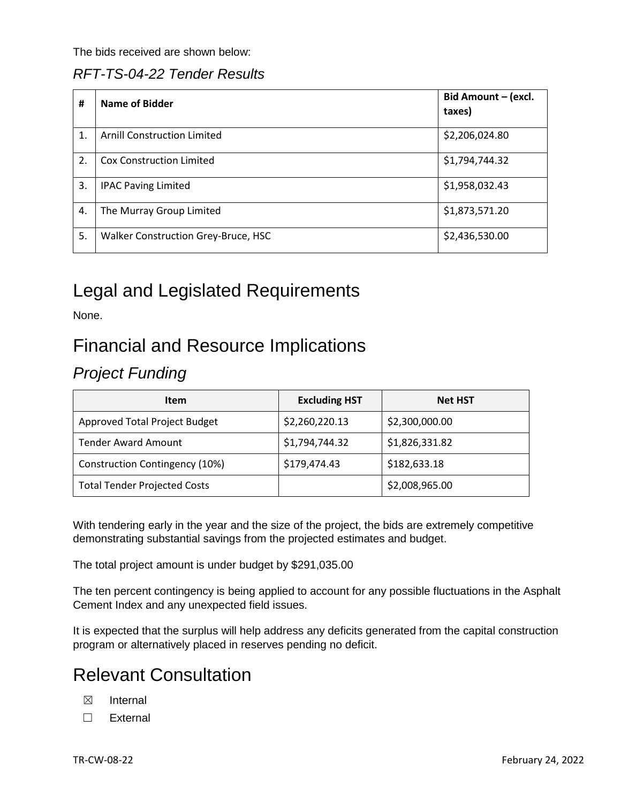The bids received are shown below:

#### *RFT-TS-04-22 Tender Results*

| #                | Name of Bidder                      | Bid Amount - (excl.<br>taxes) |
|------------------|-------------------------------------|-------------------------------|
| 1.               | <b>Arnill Construction Limited</b>  | \$2,206,024.80                |
| $\overline{2}$ . | <b>Cox Construction Limited</b>     | \$1,794,744.32                |
| 3.               | <b>IPAC Paving Limited</b>          | \$1,958,032.43                |
| 4.               | The Murray Group Limited            | \$1,873,571.20                |
| 5.               | Walker Construction Grey-Bruce, HSC | \$2,436,530.00                |

#### Legal and Legislated Requirements

None.

#### Financial and Resource Implications

#### *Project Funding*

| <b>Item</b>                         | <b>Excluding HST</b> | <b>Net HST</b> |
|-------------------------------------|----------------------|----------------|
| Approved Total Project Budget       | \$2,260,220.13       | \$2,300,000.00 |
| <b>Tender Award Amount</b>          | \$1,794,744.32       | \$1,826,331.82 |
| Construction Contingency (10%)      | \$179,474.43         | \$182,633.18   |
| <b>Total Tender Projected Costs</b> |                      | \$2,008,965.00 |

With tendering early in the year and the size of the project, the bids are extremely competitive demonstrating substantial savings from the projected estimates and budget.

The total project amount is under budget by \$291,035.00

The ten percent contingency is being applied to account for any possible fluctuations in the Asphalt Cement Index and any unexpected field issues.

It is expected that the surplus will help address any deficits generated from the capital construction program or alternatively placed in reserves pending no deficit.

## Relevant Consultation

- ☒ Internal
- ☐ External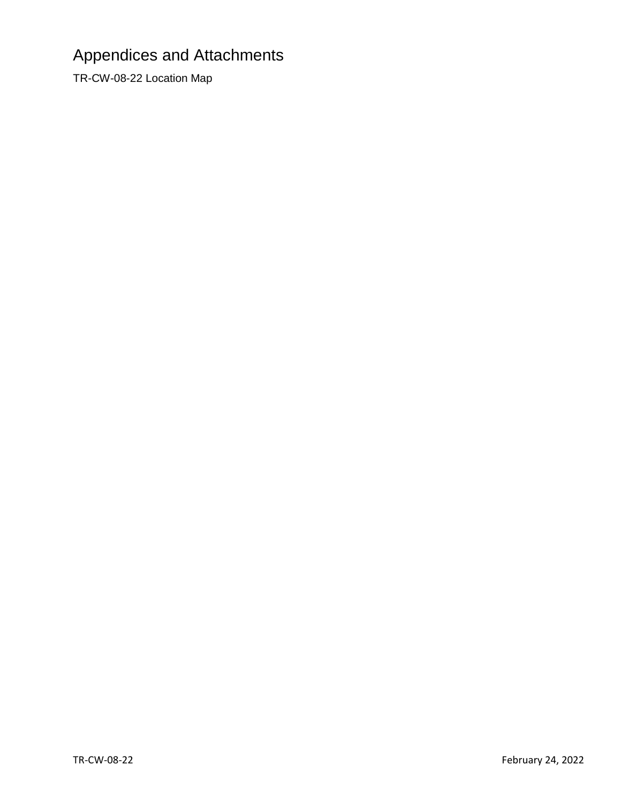# Appendices and Attachments

TR-CW-08-22 Location Map